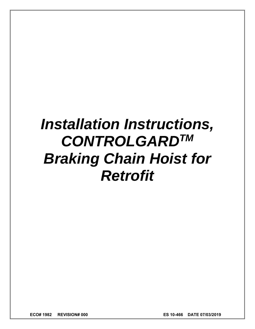# *Installation Instructions, CONTROLGARDTM Braking Chain Hoist for Retrofit*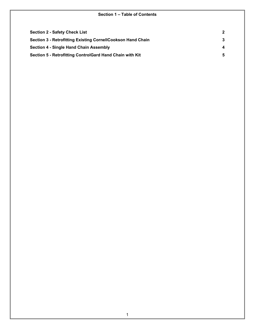| <b>Section 2 - Safety Check List</b>                               | $\mathbf 2$ |
|--------------------------------------------------------------------|-------------|
| <b>Section 3 - Retrofitting Existing CornellCookson Hand Chain</b> | 3           |
| Section 4 - Single Hand Chain Assembly                             | 4           |
| Section 5 - Retrofitting ControlGard Hand Chain with Kit           | 5           |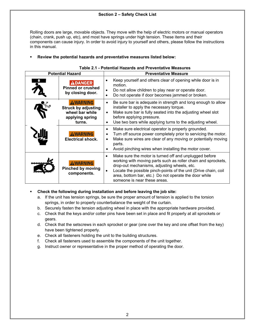#### **Section 2 – Safety Check List**

Rolling doors are large, movable objects. They move with the help of electric motors or manual operators (chain, crank, push up, etc), and most have springs under high tension. These items and their components can cause injury. In order to avoid injury to yourself and others, please follow the instructions in this manual.

## **Review the potential hazards and preventative measures listed below:**

| <b>Potential Hazard</b> |                                                                                        | <b>Preventative Measure</b>                                                                                                                                                                                                                                                                                                                     |  |  |
|-------------------------|----------------------------------------------------------------------------------------|-------------------------------------------------------------------------------------------------------------------------------------------------------------------------------------------------------------------------------------------------------------------------------------------------------------------------------------------------|--|--|
|                         | <b>ADANGER</b><br><b>Pinned or crushed</b><br>by closing door.                         | Keep yourself and others clear of opening while door is in<br>$\bullet$<br>motion.<br>Do not allow children to play near or operate door.<br>Do not operate if door becomes jammed or broken.                                                                                                                                                   |  |  |
|                         | AWARNING<br><b>Struck by adjusting</b><br>wheel bar while<br>applying spring<br>turns. | Be sure bar is adequate in strength and long enough to allow<br>$\bullet$<br>installer to apply the necessary torque.<br>Make sure bar is fully seated into the adjusting wheel slot<br>$\bullet$<br>before applying pressure.<br>Use two bars while applying turns to the adjusting wheel.<br>$\bullet$                                        |  |  |
|                         | <b>AWARNING</b><br><b>Electrical shock.</b>                                            | Make sure electrical operator is properly grounded.<br>$\bullet$<br>Turn off source power completely prior to servicing the motor.<br>$\bullet$<br>Make sure wires are clear of any moving or potentially moving<br>$\bullet$<br>parts.<br>Avoid pinching wires when installing the motor cover.<br>$\bullet$                                   |  |  |
|                         | AWARNING<br><b>Pinched by moving</b><br>components.                                    | Make sure the motor is turned off and unplugged before<br>$\bullet$<br>working with moving parts such as roller chain and sprockets,<br>drop-out mechanisms, adjusting wheels, etc.<br>Locate the possible pinch-points of the unit (Drive chain, coil<br>area, bottom bar, etc.) Do not operate the door while<br>someone is near these areas. |  |  |

### **Table 2.1 - Potential Hazards and Preventative Measures**

#### **Check the following during installation and before leaving the job site:**

- a. If the unit has tension springs, be sure the proper amount of tension is applied to the torsion springs, in order to properly counterbalance the weight of the curtain.
- b. Securely fasten the tension adjusting wheel in place with the appropriate hardware provided.
- c. Check that the keys and/or cotter pins have been set in place and fit properly at all sprockets or gears.
- d. Check that the setscrews in each sprocket or gear (one over the key and one offset from the key) have been tightened properly.
- e. Check all fasteners holding the unit to the building structures.
- f. Check all fasteners used to assemble the components of the unit together.
- g. Instruct owner or representative in the proper method of operating the door.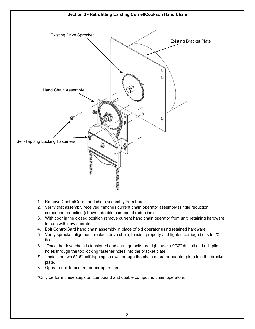

**Section 3 - Retrofitting Existing CornellCookson Hand Chain** 

- 1. Remove ControlGard hand chain assembly from box.
- 2. Verify that assembly received matches current chain operator assembly (single reduction, compound reduction (shown), double compound reduction)
- 3. With door in the closed position remove current hand chain operator from unit, retaining hardware for use with new operator.
- 4. Bolt ControlGard hand chain assembly in place of old operator using retained hardware.
- 5. Verify sprocket alignment, replace drive chain, tension properly and tighten carriage bolts to 20 ftlbs
- 6. \*Once the drive chain is tensioned and carriage bolts are tight, use a 9/32" drill bit and drill pilot holes through the top locking fastener holes into the bracket plate.
- 7. \*Install the two 5/16" self-tapping screws through the chain operator adapter plate into the bracket plate.
- 8. Operate unit to ensure proper operation.

**\***Only perform these steps on compound and double compound chain operators.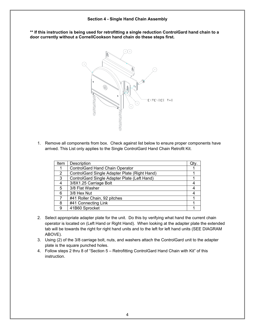**\*\* If this instruction is being used for retrofitting a single reduction ControlGard hand chain to a door currently without a CornellCookson hand chain do these steps first.** 



1. Remove all components from box. Check against list below to ensure proper components have arrived. This List only applies to the Single ControlGard Hand Chain Retrofit Kit.

| Item | Description                                   |  |
|------|-----------------------------------------------|--|
|      | <b>ControlGard Hand Chain Operator</b>        |  |
| 2    | ControlGard Single Adapter Plate (Right Hand) |  |
| 3    | ControlGard Single Adapter Plate (Left Hand)  |  |
| 4    | 3/8X1.25 Carriage Bolt                        |  |
| 5    | 3/8 Flat Washer                               |  |
| 6    | 3/8 Hex Nut                                   |  |
|      | #41 Roller Chain, 92 pitches                  |  |
| 8    | #41 Connecting Link                           |  |
| Й    | 41B60 Sprocket                                |  |

- 2. Select appropriate adapter plate for the unit. Do this by verifying what hand the current chain operator is located on (Left Hand or Right Hand). When looking at the adapter plate the extended tab will be towards the right for right hand units and to the left for left hand units (SEE DIAGRAM ABOVE).
- 3. Using (2) of the 3/8 carriage bolt, nuts, and washers attach the ControlGard unit to the adapter plate is the square punched holes.
- 4. Follow steps 2 thru 8 of "Section 5 Retrofitting ControlGard Hand Chain with Kit" of this instruction.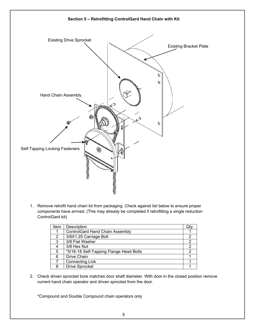

**Section 5 – Retrofitting ControlGard Hand Chain with Kit** 

1. Remove retrofit hand chain kit from packaging. Check against list below to ensure proper components have arrived. (This may already be completed if retrofitting a single reduction ControlGard kit)

| Item | Description                             |  |
|------|-----------------------------------------|--|
|      | <b>ControlGard Hand Chain Assembly</b>  |  |
| 2    | 3/8X1.25 Carriage Bolt                  |  |
| 3    | 3/8 Flat Washer                         |  |
|      | 3/8 Hex Nut                             |  |
| 5    | *5/16-18 Self-Tapping Flange Head Bolts |  |
| 6    | <b>Drive Chain</b>                      |  |
|      | <b>Connecting Link</b>                  |  |
| 8    | <b>Drive Sprocket</b>                   |  |

2. Check driven sprocket bore matches door shaft diameter. With door in the closed position remove current hand chain operator and driven sprocket from the door.

\*Compound and Double Compound chain operators only